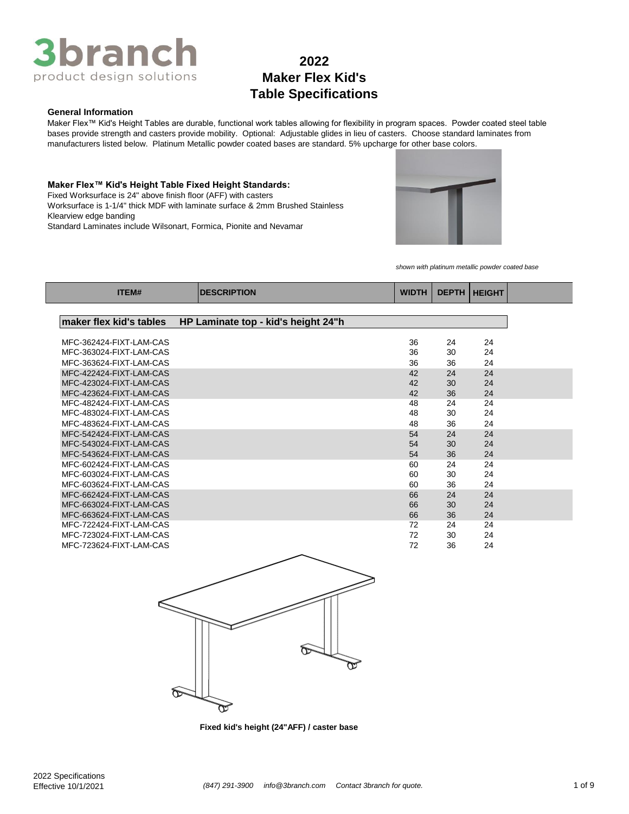

### **General Information**

Maker Flex™ Kid's Height Tables are durable, functional work tables allowing for flexibility in program spaces. Powder coated steel table bases provide strength and casters provide mobility. Optional: Adjustable glides in lieu of casters. Choose standard laminates from manufacturers listed below. Platinum Metallic powder coated bases are standard. 5% upcharge for other base colors.

**Maker Flex™ Kid's Height Table Fixed Height Standards:** Fixed Worksurface is 24" above finish floor (AFF) with casters Standard Laminates include Wilsonart, Formica, Pionite and Nevamar Worksurface is 1-1/4" thick MDF with laminate surface & 2mm Brushed Stainless Klearview edge banding



*shown with platinum metallic powder coated base*

| <b>ITEM#</b>                                       | <b>DESCRIPTION</b>                  | <b>WIDTH</b> |          | <b>DEPTH   HEIGHT</b> |
|----------------------------------------------------|-------------------------------------|--------------|----------|-----------------------|
|                                                    |                                     |              |          |                       |
| maker flex kid's tables                            | HP Laminate top - kid's height 24"h |              |          |                       |
| MFC-362424-FIXT-LAM-CAS                            |                                     | 36           |          | 24                    |
| MFC-363024-FIXT-LAM-CAS                            |                                     | 36           | 24<br>30 | 24                    |
|                                                    |                                     |              |          |                       |
| MFC-363624-FIXT-LAM-CAS<br>MFC-422424-FIXT-LAM-CAS |                                     | 36<br>42     | 36       | 24                    |
| MFC-423024-FIXT-LAM-CAS                            |                                     | 42           | 24<br>30 | 24<br>24              |
| MFC-423624-FIXT-LAM-CAS                            |                                     | 42           | 36       | 24                    |
| MFC-482424-FIXT-LAM-CAS                            |                                     | 48           | 24       | 24                    |
| MFC-483024-FIXT-LAM-CAS                            |                                     | 48           | 30       | 24                    |
| MFC-483624-FIXT-LAM-CAS                            |                                     | 48           | 36       | 24                    |
| MFC-542424-FIXT-LAM-CAS                            |                                     | 54           | 24       | 24                    |
| MFC-543024-FIXT-LAM-CAS                            |                                     | 54           | 30       | 24                    |
| MFC-543624-FIXT-LAM-CAS                            |                                     | 54           | 36       | 24                    |
| MFC-602424-FIXT-LAM-CAS                            |                                     | 60           | 24       | 24                    |
| MFC-603024-FIXT-LAM-CAS                            |                                     | 60           | 30       | 24                    |
| MFC-603624-FIXT-LAM-CAS                            |                                     | 60           | 36       | 24                    |
| MFC-662424-FIXT-LAM-CAS                            |                                     | 66           | 24       | 24                    |
| MFC-663024-FIXT-LAM-CAS                            |                                     | 66           | 30       | 24                    |
| MFC-663624-FIXT-LAM-CAS                            |                                     | 66           | 36       | 24                    |
| MFC-722424-FIXT-LAM-CAS                            |                                     | 72           | 24       | 24                    |
| MFC-723024-FIXT-LAM-CAS                            |                                     | 72           | 30       | 24                    |
| MFC-723624-FIXT-LAM-CAS                            |                                     | 72           | 36       | 24                    |



**Fixed kid's height (24"AFF) / caster base**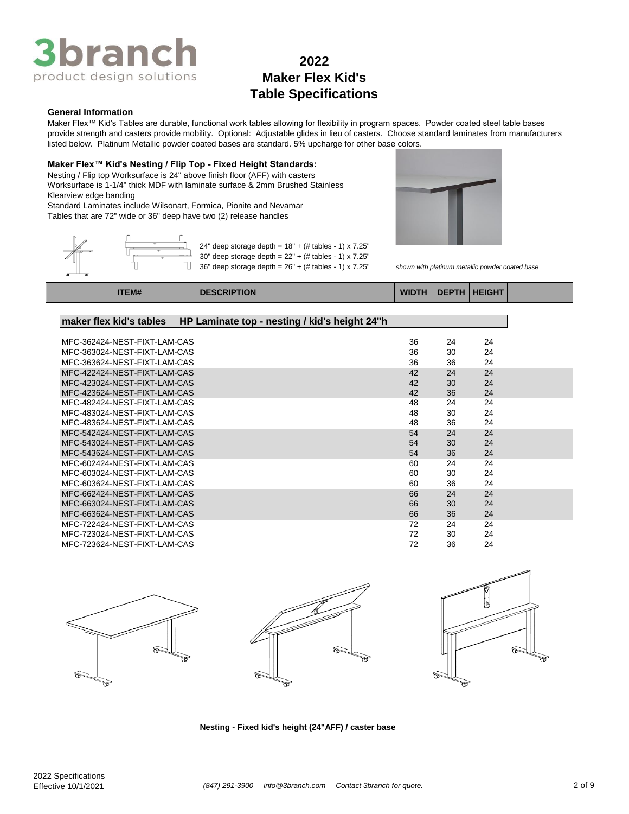

### **General Information**

Maker Flex™ Kid's Tables are durable, functional work tables allowing for flexibility in program spaces. Powder coated steel table bases provide strength and casters provide mobility. Optional: Adjustable glides in lieu of casters. Choose standard laminates from manufacturers listed below. Platinum Metallic powder coated bases are standard. 5% upcharge for other base colors.

> 24" deep storage depth =  $18" + (*#* tables - 1) \times 7.25"$ 30" deep storage depth = 22" + (# tables - 1) x 7.25"

### **Maker Flex™ Kid's Nesting / Flip Top - Fixed Height Standards:**

Nesting / Flip top Worksurface is 24" above finish floor (AFF) with casters Worksurface is 1-1/4" thick MDF with laminate surface & 2mm Brushed Stainless Klearview edge banding

Standard Laminates include Wilsonart, Formica, Pionite and Nevamar Tables that are 72" wide or 36" deep have two (2) release handles



36" deep storage depth = 26" + (# tables - 1) x 7.25" *shown with platinum metallic powder coated base*

|   | ITEM# | <b>INESCRIPTION</b>          |
|---|-------|------------------------------|
| w |       | 36" deep storage depth = 26" |

# **ITEM# DESCRIPTION WIDTH DEPTH HEIGHT**

### **maker flex kid's tables HP Laminate top - nesting / kid's height 24"h**

| MFC-362424-NEST-FIXT-LAM-CAS | 36 | 24 | 24 |
|------------------------------|----|----|----|
| MFC-363024-NEST-FIXT-LAM-CAS | 36 | 30 | 24 |
| MFC-363624-NEST-FIXT-LAM-CAS | 36 | 36 | 24 |
| MFC-422424-NEST-FIXT-LAM-CAS | 42 | 24 | 24 |
| MFC-423024-NEST-FIXT-LAM-CAS | 42 | 30 | 24 |
| MFC-423624-NEST-FIXT-LAM-CAS | 42 | 36 | 24 |
| MFC-482424-NEST-FIXT-LAM-CAS | 48 | 24 | 24 |
| MFC-483024-NEST-FIXT-LAM-CAS | 48 | 30 | 24 |
| MFC-483624-NEST-FIXT-LAM-CAS | 48 | 36 | 24 |
| MFC-542424-NEST-FIXT-LAM-CAS | 54 | 24 | 24 |
| MFC-543024-NEST-FIXT-LAM-CAS | 54 | 30 | 24 |
| MFC-543624-NEST-FIXT-LAM-CAS | 54 | 36 | 24 |
| MFC-602424-NEST-FIXT-LAM-CAS | 60 | 24 | 24 |
| MFC-603024-NEST-FIXT-LAM-CAS | 60 | 30 | 24 |
| MFC-603624-NEST-FIXT-LAM-CAS | 60 | 36 | 24 |
| MFC-662424-NEST-FIXT-LAM-CAS | 66 | 24 | 24 |
| MFC-663024-NEST-FIXT-LAM-CAS | 66 | 30 | 24 |
| MFC-663624-NEST-FIXT-LAM-CAS | 66 | 36 | 24 |
| MFC-722424-NEST-FIXT-LAM-CAS | 72 | 24 | 24 |
| MFC-723024-NEST-FIXT-LAM-CAS | 72 | 30 | 24 |
| MFC-723624-NEST-FIXT-LAM-CAS | 72 | 36 | 24 |









#### **Nesting - Fixed kid's height (24"AFF) / caster base**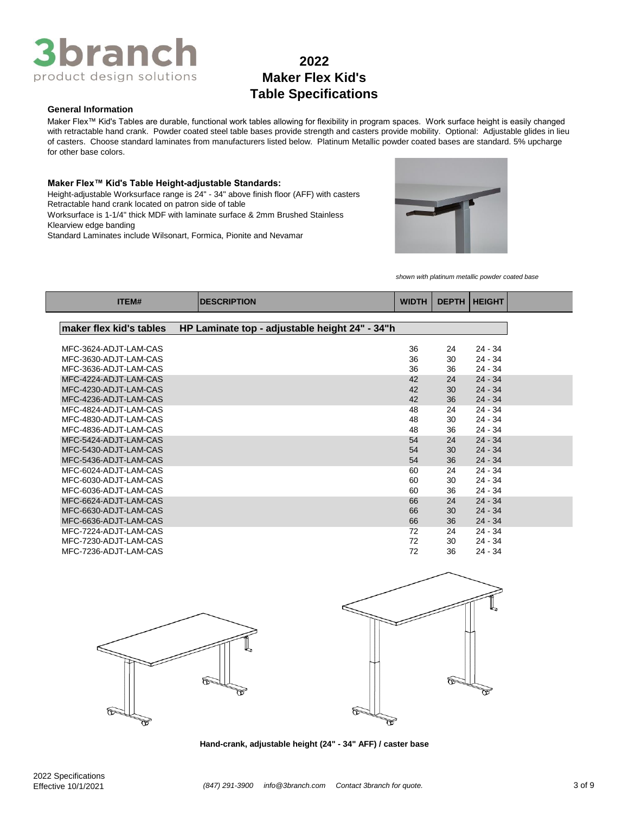

#### **General Information**

Maker Flex™ Kid's Tables are durable, functional work tables allowing for flexibility in program spaces. Work surface height is easily changed with retractable hand crank. Powder coated steel table bases provide strength and casters provide mobility. Optional: Adjustable glides in lieu of casters. Choose standard laminates from manufacturers listed below. Platinum Metallic powder coated bases are standard. 5% upcharge for other base colors.

### **Maker Flex™ Kid's Table Height-adjustable Standards:**

Height-adjustable Worksurface range is 24" - 34" above finish floor (AFF) with casters Retractable hand crank located on patron side of table

Worksurface is 1-1/4" thick MDF with laminate surface & 2mm Brushed Stainless Klearview edge banding

Standard Laminates include Wilsonart, Formica, Pionite and Nevamar



*shown with platinum metallic powder coated base*

| ITEM#                                          | <b>IDESCRIPTION</b>                            | <b>WIDTH</b> | <b>DEPTH</b> | <b>HEIGHT</b>          |
|------------------------------------------------|------------------------------------------------|--------------|--------------|------------------------|
|                                                |                                                |              |              |                        |
| maker flex kid's tables                        | HP Laminate top - adjustable height 24" - 34"h |              |              |                        |
| MFC-3624-ADJT-LAM-CAS                          |                                                | 36           | 24           | $24 - 34$              |
| MFC-3630-ADJT-LAM-CAS                          |                                                | 36           | 30           | $24 - 34$              |
| MFC-3636-ADJT-LAM-CAS                          |                                                | 36           | 36           | $24 - 34$              |
| MFC-4224-ADJT-LAM-CAS                          |                                                | 42           | 24           | $24 - 34$              |
| MFC-4230-ADJT-LAM-CAS                          |                                                | 42           | 30           | $24 - 34$              |
| MFC-4236-ADJT-LAM-CAS                          |                                                | 42           | 36           | $24 - 34$              |
| MFC-4824-ADJT-LAM-CAS                          |                                                | 48           | 24           | $24 - 34$              |
| MFC-4830-ADJT-LAM-CAS                          |                                                | 48           | 30           | $24 - 34$              |
| MFC-4836-ADJT-LAM-CAS                          |                                                | 48           | 36           | $24 - 34$              |
| MFC-5424-ADJT-LAM-CAS                          |                                                | 54           | 24           | $24 - 34$              |
| MFC-5430-ADJT-LAM-CAS                          |                                                | 54           | 30           | $24 - 34$              |
| MFC-5436-ADJT-LAM-CAS                          |                                                | 54           | 36           | $24 - 34$              |
| MFC-6024-ADJT-LAM-CAS                          |                                                | 60           | 24           | $24 - 34$              |
| MFC-6030-ADJT-LAM-CAS                          |                                                | 60           | 30           | $24 - 34$              |
| MFC-6036-ADJT-LAM-CAS                          |                                                | 60           | 36           | $24 - 34$              |
| MFC-6624-ADJT-LAM-CAS                          |                                                | 66           | 24           | $24 - 34$              |
| MFC-6630-ADJT-LAM-CAS                          |                                                | 66           | 30           | $24 - 34$              |
| MFC-6636-ADJT-LAM-CAS                          |                                                | 66           | 36           | $24 - 34$              |
| MFC-7224-ADJT-LAM-CAS                          |                                                | 72           | 24           | $24 - 34$              |
| MFC-7230-ADJT-LAM-CAS<br>MFC-7236-ADJT-LAM-CAS |                                                | 72<br>72     | 30<br>36     | $24 - 34$<br>$24 - 34$ |
|                                                |                                                |              |              |                        |





**Hand-crank, adjustable height (24" - 34" AFF) / caster base**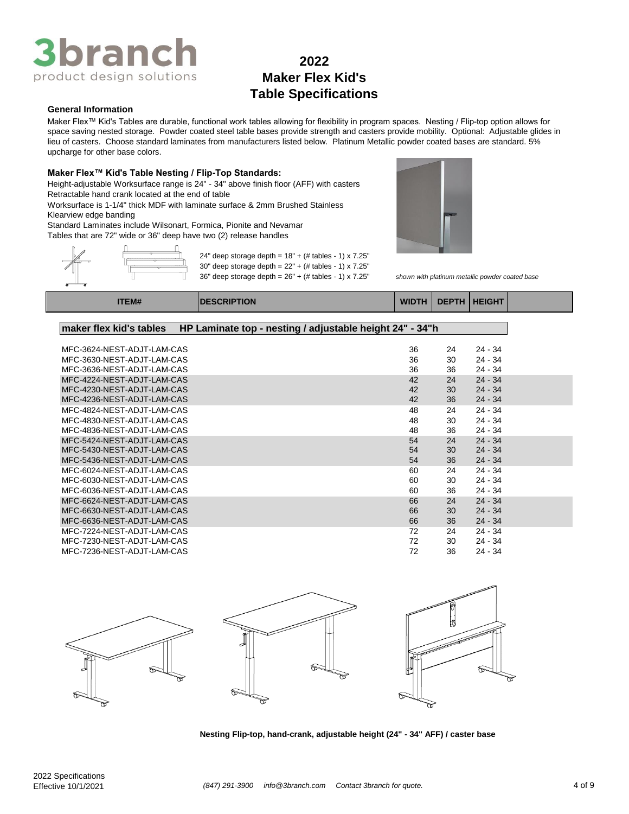# **3branc** product design solutions

# **2022 Maker Flex Kid's Table Specifications**

### **General Information**

Maker Flex™ Kid's Tables are durable, functional work tables allowing for flexibility in program spaces. Nesting / Flip-top option allows for space saving nested storage. Powder coated steel table bases provide strength and casters provide mobility. Optional: Adjustable glides in lieu of casters. Choose standard laminates from manufacturers listed below. Platinum Metallic powder coated bases are standard. 5% upcharge for other base colors.

### **Maker Flex™ Kid's Table Nesting / Flip-Top Standards:**

Height-adjustable Worksurface range is 24" - 34" above finish floor (AFF) with casters Retractable hand crank located at the end of table

Worksurface is 1-1/4" thick MDF with laminate surface & 2mm Brushed Stainless Klearview edge banding

Standard Laminates include Wilsonart, Formica, Pionite and Nevamar

Tables that are 72" wide or 36" deep have two (2) release handles



24" deep storage depth =  $18" + (# tables - 1) \times 7.25"$ 30" deep storage depth = 22" + (# tables - 1) x 7.25"

36" deep storage depth = 26" + (# tables - 1) x 7.25" *shown with platinum metallic powder coated base*



**ITEM# DESCRIPTION WIDTH DEPTH HEIGHT**

| MFC-3624-NEST-ADJT-LAM-CAS | 36 | 24 | 24 - 34   |
|----------------------------|----|----|-----------|
| MFC-3630-NEST-ADJT-LAM-CAS | 36 | 30 | $24 - 34$ |
| MFC-3636-NEST-ADJT-LAM-CAS | 36 | 36 | $24 - 34$ |
| MFC-4224-NEST-ADJT-LAM-CAS | 42 | 24 | $24 - 34$ |
| MFC-4230-NEST-ADJT-LAM-CAS | 42 | 30 | $24 - 34$ |
| MFC-4236-NEST-ADJT-LAM-CAS | 42 | 36 | $24 - 34$ |
| MFC-4824-NEST-ADJT-LAM-CAS | 48 | 24 | $24 - 34$ |
| MFC-4830-NEST-ADJT-LAM-CAS | 48 | 30 | $24 - 34$ |
| MFC-4836-NEST-ADJT-LAM-CAS | 48 | 36 | $24 - 34$ |
| MFC-5424-NEST-ADJT-LAM-CAS | 54 | 24 | $24 - 34$ |
| MFC-5430-NEST-ADJT-LAM-CAS | 54 | 30 | $24 - 34$ |
| MFC-5436-NEST-ADJT-LAM-CAS | 54 | 36 | $24 - 34$ |
| MFC-6024-NEST-ADJT-LAM-CAS | 60 | 24 | 24 - 34   |
| MFC-6030-NEST-ADJT-LAM-CAS | 60 | 30 | $24 - 34$ |
| MFC-6036-NEST-ADJT-LAM-CAS | 60 | 36 | $24 - 34$ |
| MFC-6624-NEST-ADJT-LAM-CAS | 66 | 24 | $24 - 34$ |
| MFC-6630-NEST-ADJT-LAM-CAS | 66 | 30 | $24 - 34$ |
| MFC-6636-NEST-ADJT-LAM-CAS | 66 | 36 | $24 - 34$ |
| MFC-7224-NEST-ADJT-LAM-CAS | 72 | 24 | $24 - 34$ |
| MFC-7230-NEST-ADJT-LAM-CAS | 72 | 30 | 24 - 34   |
| MFC-7236-NEST-ADJT-LAM-CAS | 72 | 36 | 24 - 34   |









**Nesting Flip-top, hand-crank, adjustable height (24" - 34" AFF) / caster base**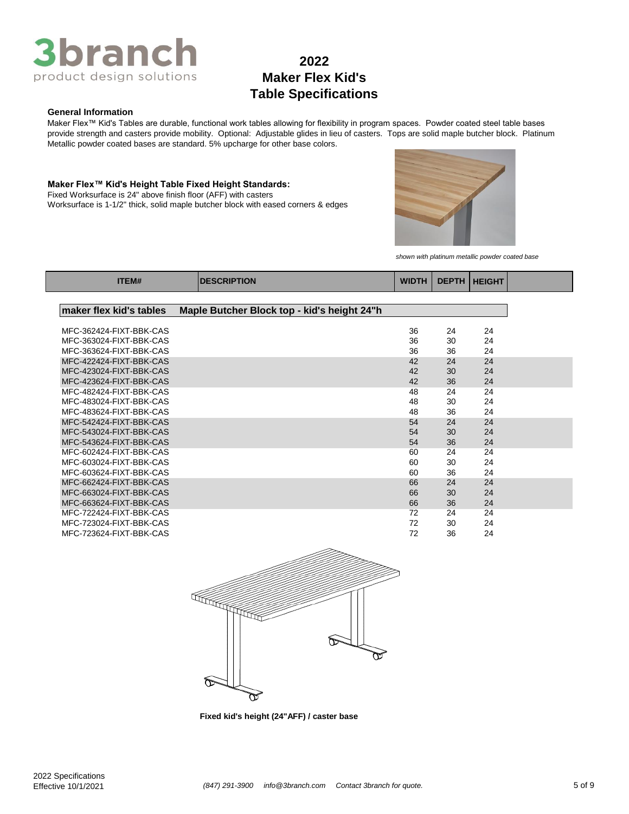

### **General Information**

Maker Flex™ Kid's Tables are durable, functional work tables allowing for flexibility in program spaces. Powder coated steel table bases provide strength and casters provide mobility. Optional: Adjustable glides in lieu of casters. Tops are solid maple butcher block. Platinum Metallic powder coated bases are standard. 5% upcharge for other base colors.

#### **Maker Flex™ Kid's Height Table Fixed Height Standards:**

Fixed Worksurface is 24" above finish floor (AFF) with casters Worksurface is 1-1/2" thick, solid maple butcher block with eased corners & edges



*shown with platinum metallic powder coated base*

| maker flex kid's tables<br>Maple Butcher Block top - kid's height 24"h<br>36<br>MFC-362424-FIXT-BBK-CAS<br>24<br>24<br>36<br>24<br>MFC-363024-FIXT-BBK-CAS<br>30<br>36<br>36<br>24<br>MFC-363624-FIXT-BBK-CAS<br>MFC-422424-FIXT-BBK-CAS<br>42<br>24<br>24<br>MFC-423024-FIXT-BBK-CAS<br>42<br>30<br>24<br>MFC-423624-FIXT-BBK-CAS<br>42<br>24<br>36<br>MFC-482424-FIXT-BBK-CAS<br>48<br>24<br>24<br>MFC-483024-FIXT-BBK-CAS<br>48<br>30<br>24<br>MFC-483624-FIXT-BBK-CAS<br>48<br>36<br>24<br>MFC-542424-FIXT-BBK-CAS<br>54<br>24<br>24<br>MFC-543024-FIXT-BBK-CAS<br>54<br>30<br>24<br>24<br>MFC-543624-FIXT-BBK-CAS<br>54<br>36<br>MFC-602424-FIXT-BBK-CAS<br>60<br>24<br>24<br>MFC-603024-FIXT-BBK-CAS<br>60<br>30<br>24<br>MFC-603624-FIXT-BBK-CAS<br>60<br>36<br>24<br>MFC-662424-FIXT-BBK-CAS<br>66<br>24<br>24<br>24<br>MFC-663024-FIXT-BBK-CAS<br>66<br>30<br>MFC-663624-FIXT-BBK-CAS<br>66<br>24<br>36<br>MFC-722424-FIXT-BBK-CAS<br>24<br>72<br>24<br>MFC-723024-FIXT-BBK-CAS<br>72<br>24<br>30<br>MFC-723624-FIXT-BBK-CAS<br>36<br>24<br>72 | ITEM# | <b>DESCRIPTION</b> | <b>WIDTH</b> | <b>DEPTH   HEIGHT</b> |  |
|---------------------------------------------------------------------------------------------------------------------------------------------------------------------------------------------------------------------------------------------------------------------------------------------------------------------------------------------------------------------------------------------------------------------------------------------------------------------------------------------------------------------------------------------------------------------------------------------------------------------------------------------------------------------------------------------------------------------------------------------------------------------------------------------------------------------------------------------------------------------------------------------------------------------------------------------------------------------------------------------------------------------------------------------------------|-------|--------------------|--------------|-----------------------|--|
|                                                                                                                                                                                                                                                                                                                                                                                                                                                                                                                                                                                                                                                                                                                                                                                                                                                                                                                                                                                                                                                         |       |                    |              |                       |  |
|                                                                                                                                                                                                                                                                                                                                                                                                                                                                                                                                                                                                                                                                                                                                                                                                                                                                                                                                                                                                                                                         |       |                    |              |                       |  |
|                                                                                                                                                                                                                                                                                                                                                                                                                                                                                                                                                                                                                                                                                                                                                                                                                                                                                                                                                                                                                                                         |       |                    |              |                       |  |
|                                                                                                                                                                                                                                                                                                                                                                                                                                                                                                                                                                                                                                                                                                                                                                                                                                                                                                                                                                                                                                                         |       |                    |              |                       |  |
|                                                                                                                                                                                                                                                                                                                                                                                                                                                                                                                                                                                                                                                                                                                                                                                                                                                                                                                                                                                                                                                         |       |                    |              |                       |  |
|                                                                                                                                                                                                                                                                                                                                                                                                                                                                                                                                                                                                                                                                                                                                                                                                                                                                                                                                                                                                                                                         |       |                    |              |                       |  |
|                                                                                                                                                                                                                                                                                                                                                                                                                                                                                                                                                                                                                                                                                                                                                                                                                                                                                                                                                                                                                                                         |       |                    |              |                       |  |
|                                                                                                                                                                                                                                                                                                                                                                                                                                                                                                                                                                                                                                                                                                                                                                                                                                                                                                                                                                                                                                                         |       |                    |              |                       |  |
|                                                                                                                                                                                                                                                                                                                                                                                                                                                                                                                                                                                                                                                                                                                                                                                                                                                                                                                                                                                                                                                         |       |                    |              |                       |  |
|                                                                                                                                                                                                                                                                                                                                                                                                                                                                                                                                                                                                                                                                                                                                                                                                                                                                                                                                                                                                                                                         |       |                    |              |                       |  |
|                                                                                                                                                                                                                                                                                                                                                                                                                                                                                                                                                                                                                                                                                                                                                                                                                                                                                                                                                                                                                                                         |       |                    |              |                       |  |
|                                                                                                                                                                                                                                                                                                                                                                                                                                                                                                                                                                                                                                                                                                                                                                                                                                                                                                                                                                                                                                                         |       |                    |              |                       |  |
|                                                                                                                                                                                                                                                                                                                                                                                                                                                                                                                                                                                                                                                                                                                                                                                                                                                                                                                                                                                                                                                         |       |                    |              |                       |  |
|                                                                                                                                                                                                                                                                                                                                                                                                                                                                                                                                                                                                                                                                                                                                                                                                                                                                                                                                                                                                                                                         |       |                    |              |                       |  |
|                                                                                                                                                                                                                                                                                                                                                                                                                                                                                                                                                                                                                                                                                                                                                                                                                                                                                                                                                                                                                                                         |       |                    |              |                       |  |
|                                                                                                                                                                                                                                                                                                                                                                                                                                                                                                                                                                                                                                                                                                                                                                                                                                                                                                                                                                                                                                                         |       |                    |              |                       |  |
|                                                                                                                                                                                                                                                                                                                                                                                                                                                                                                                                                                                                                                                                                                                                                                                                                                                                                                                                                                                                                                                         |       |                    |              |                       |  |
|                                                                                                                                                                                                                                                                                                                                                                                                                                                                                                                                                                                                                                                                                                                                                                                                                                                                                                                                                                                                                                                         |       |                    |              |                       |  |
|                                                                                                                                                                                                                                                                                                                                                                                                                                                                                                                                                                                                                                                                                                                                                                                                                                                                                                                                                                                                                                                         |       |                    |              |                       |  |
|                                                                                                                                                                                                                                                                                                                                                                                                                                                                                                                                                                                                                                                                                                                                                                                                                                                                                                                                                                                                                                                         |       |                    |              |                       |  |
|                                                                                                                                                                                                                                                                                                                                                                                                                                                                                                                                                                                                                                                                                                                                                                                                                                                                                                                                                                                                                                                         |       |                    |              |                       |  |
|                                                                                                                                                                                                                                                                                                                                                                                                                                                                                                                                                                                                                                                                                                                                                                                                                                                                                                                                                                                                                                                         |       |                    |              |                       |  |
|                                                                                                                                                                                                                                                                                                                                                                                                                                                                                                                                                                                                                                                                                                                                                                                                                                                                                                                                                                                                                                                         |       |                    |              |                       |  |
|                                                                                                                                                                                                                                                                                                                                                                                                                                                                                                                                                                                                                                                                                                                                                                                                                                                                                                                                                                                                                                                         |       |                    |              |                       |  |



**Fixed kid's height (24"AFF) / caster base**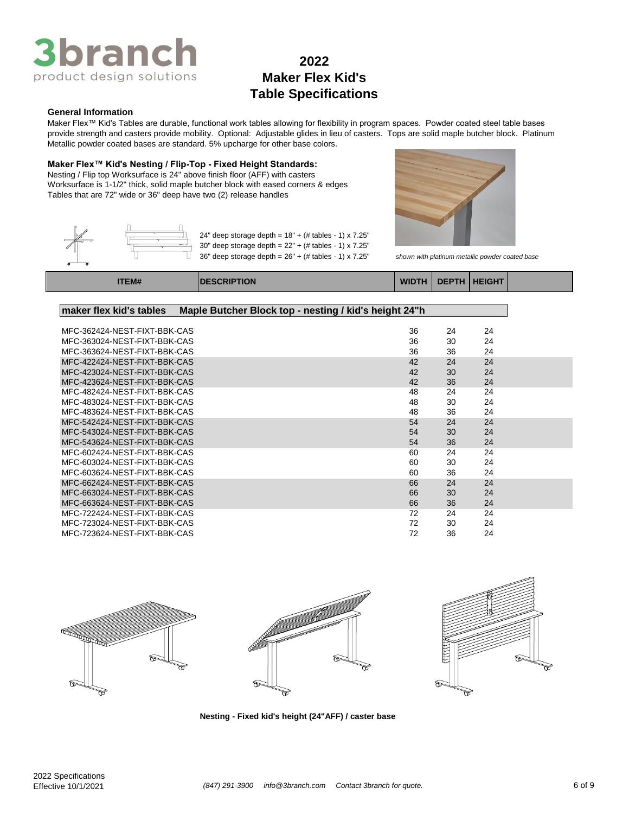

### **General Information**

Maker Flex™ Kid's Tables are durable, functional work tables allowing for flexibility in program spaces. Powder coated steel table bases provide strength and casters provide mobility. Optional: Adjustable glides in lieu of casters. Tops are solid maple butcher block. Platinum Metallic powder coated bases are standard. 5% upcharge for other base colors.

### **Maker Flex™ Kid's Nesting / Flip-Top - Fixed Height Standards:**

Nesting / Flip top Worksurface is 24" above finish floor (AFF) with casters Worksurface is 1-1/2" thick, solid maple butcher block with eased corners & edges Tables that are 72" wide or 36" deep have two (2) release handles



| 24" deep storage depth = $18" + (+$ tables - 1) x 7.25"     |
|-------------------------------------------------------------|
| 30" deep storage depth = $22" + (+$ tables - 1) x 7.25"     |
| $36"$ deep storage depth = $26" + (#$ tables - 1) x $7.25"$ |



 $s$ hown with platinum metallic powder coated base

| <b>TEM#</b> | <b>IDESCRIPTION</b> |  | WIDTH   DEPTH   HEIGHT |  |
|-------------|---------------------|--|------------------------|--|
|             |                     |  |                        |  |

| maker flex kid's tables<br>Maple Butcher Block top - nesting / kid's height 24"h |    |    |    |
|----------------------------------------------------------------------------------|----|----|----|
|                                                                                  |    |    |    |
| MFC-362424-NEST-FIXT-BBK-CAS                                                     | 36 | 24 | 24 |
| MFC-363024-NEST-FIXT-BBK-CAS                                                     | 36 | 30 | 24 |
| MFC-363624-NEST-FIXT-BBK-CAS                                                     | 36 | 36 | 24 |
| MFC-422424-NEST-FIXT-BBK-CAS                                                     | 42 | 24 | 24 |
| MFC-423024-NEST-FIXT-BBK-CAS                                                     | 42 | 30 | 24 |
| MFC-423624-NEST-FIXT-BBK-CAS                                                     | 42 | 36 | 24 |
| MFC-482424-NEST-FIXT-BBK-CAS                                                     | 48 | 24 | 24 |
| MFC-483024-NEST-FIXT-BBK-CAS                                                     | 48 | 30 | 24 |
| MFC-483624-NEST-FIXT-BBK-CAS                                                     | 48 | 36 | 24 |
| MFC-542424-NEST-FIXT-BBK-CAS                                                     | 54 | 24 | 24 |
| MFC-543024-NEST-FIXT-BBK-CAS                                                     | 54 | 30 | 24 |
| MFC-543624-NEST-FIXT-BBK-CAS                                                     | 54 | 36 | 24 |
| MFC-602424-NEST-FIXT-BBK-CAS                                                     | 60 | 24 | 24 |
| MFC-603024-NEST-FIXT-BBK-CAS                                                     | 60 | 30 | 24 |
| MFC-603624-NEST-FIXT-BBK-CAS                                                     | 60 | 36 | 24 |
| MFC-662424-NEST-FIXT-BBK-CAS                                                     | 66 | 24 | 24 |
| MFC-663024-NEST-FIXT-BBK-CAS                                                     | 66 | 30 | 24 |
| MFC-663624-NEST-FIXT-BBK-CAS                                                     | 66 | 36 | 24 |
| MFC-722424-NEST-FIXT-BBK-CAS                                                     | 72 | 24 | 24 |
| MFC-723024-NEST-FIXT-BBK-CAS                                                     | 72 | 30 | 24 |
| MFC-723624-NEST-FIXT-BBK-CAS                                                     | 72 | 36 | 24 |







**Nesting - Fixed kid's height (24"AFF) / caster base**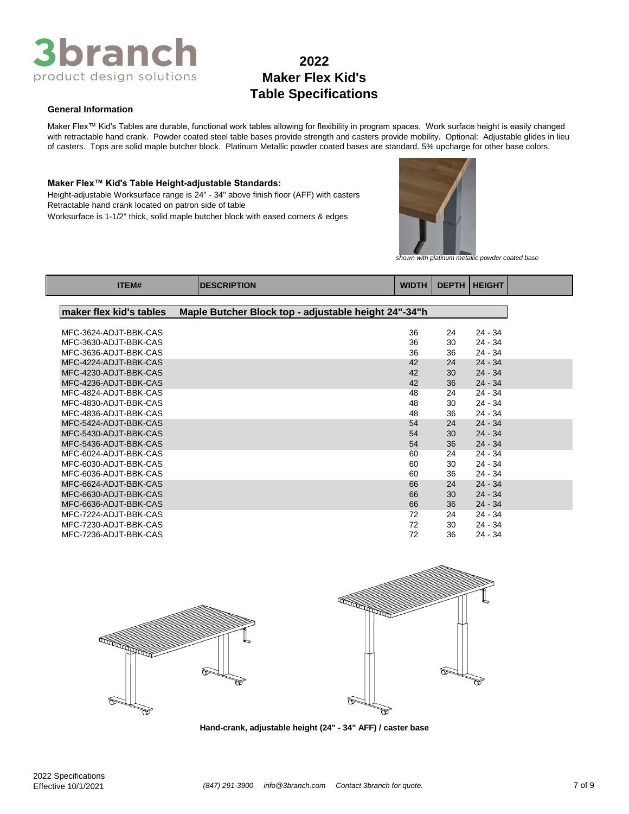

### **General Information**

Maker Flex™ Kid's Tables are durable, functional work tables allowing for flexibility in program spaces. Work surface height is easily changed with retractable hand crank. Powder coated steel table bases provide strength and casters provide mobility. Optional: Adjustable glides in lieu of casters. Tops are solid maple butcher block. Platinum Metallic powder coated bases are standard. 5% upcharge for other base colors.

#### **Maker Flex™ Kid's Table Height-adjustable Standards:**

Height-adjustable Worksurface range is 24" - 34" above finish floor (AFF) with casters Retractable hand crank located on patron side of table





*shown with platinum metallic powder coated base*

| ITEM#                   | <b>DESCRIPTION</b>                                   | <b>WIDTH</b> | <b>DEPTH</b> | <b>HEIGHT</b> |  |
|-------------------------|------------------------------------------------------|--------------|--------------|---------------|--|
| maker flex kid's tables | Maple Butcher Block top - adjustable height 24"-34"h |              |              |               |  |
|                         |                                                      |              |              |               |  |
| MFC-3624-ADJT-BBK-CAS   |                                                      | 36           | 24           | $24 - 34$     |  |
| MFC-3630-ADJT-BBK-CAS   |                                                      | 36           | 30           | 24 - 34       |  |
| MFC-3636-ADJT-BBK-CAS   |                                                      | 36           | 36           | $24 - 34$     |  |
| MFC-4224-ADJT-BBK-CAS   |                                                      | 42           | 24           | $24 - 34$     |  |
| MFC-4230-ADJT-BBK-CAS   |                                                      | 42           | 30           | $24 - 34$     |  |
| MFC-4236-ADJT-BBK-CAS   |                                                      | 42           | 36           | $24 - 34$     |  |
| MFC-4824-ADJT-BBK-CAS   |                                                      | 48           | 24           | $24 - 34$     |  |
| MFC-4830-ADJT-BBK-CAS   |                                                      | 48           | 30           | $24 - 34$     |  |
| MFC-4836-ADJT-BBK-CAS   |                                                      | 48           | 36           | 24 - 34       |  |
| MFC-5424-ADJT-BBK-CAS   |                                                      | 54           | 24           | $24 - 34$     |  |
| MFC-5430-ADJT-BBK-CAS   |                                                      | 54           | 30           | $24 - 34$     |  |
| MFC-5436-ADJT-BBK-CAS   |                                                      | 54           | 36           | $24 - 34$     |  |
| MFC-6024-ADJT-BBK-CAS   |                                                      | 60           | 24           | $24 - 34$     |  |
| MFC-6030-ADJT-BBK-CAS   |                                                      | 60           | 30           | 24 - 34       |  |
| MFC-6036-ADJT-BBK-CAS   |                                                      | 60           | 36           | $24 - 34$     |  |
| MFC-6624-ADJT-BBK-CAS   |                                                      | 66           | 24           | $24 - 34$     |  |
| MFC-6630-ADJT-BBK-CAS   |                                                      | 66           | 30           | $24 - 34$     |  |
| MFC-6636-ADJT-BBK-CAS   |                                                      | 66           | 36           | $24 - 34$     |  |
| MFC-7224-ADJT-BBK-CAS   |                                                      | 72           | 24           | $24 - 34$     |  |
| MFC-7230-ADJT-BBK-CAS   |                                                      | 72           | 30           | 24 - 34       |  |
| MFC-7236-ADJT-BBK-CAS   |                                                      | 72           | 36           | $24 - 34$     |  |





**Hand-crank, adjustable height (24" - 34" AFF) / caster base**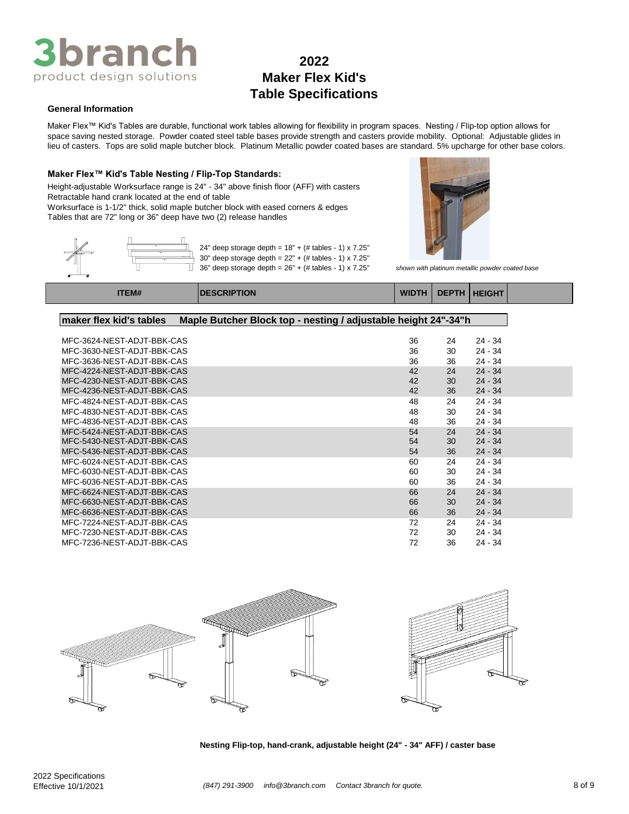

#### **General Information**

Maker Flex™ Kid's Tables are durable, functional work tables allowing for flexibility in program spaces. Nesting / Flip-top option allows for space saving nested storage. Powder coated steel table bases provide strength and casters provide mobility. Optional: Adjustable glides in lieu of casters. Tops are solid maple butcher block. Platinum Metallic powder coated bases are standard. 5% upcharge for other base colors.

#### **Maker Flex™ Kid's Table Nesting / Flip-Top Standards:**

Worksurface is 1-1/2" thick, solid maple butcher block with eased corners & edges Tables that are 72" long or 36" deep have two (2) release handles Height-adjustable Worksurface range is 24" - 34" above finish floor (AFF) with casters Retractable hand crank located at the end of table





36" deep storage depth = 26" + (# tables - 1) x 7.25" *shown with platinum metallic powder coated base*

| <b>ITEM#</b>             | <b>IDESCRIPTION</b>                                            | WIDTH   DEPTH   HEIGHT |  |
|--------------------------|----------------------------------------------------------------|------------------------|--|
| lmakar flav kid's tahlas | Manle Rutcher Block ton - nesting / adjustable height 24"-34"h |                        |  |

| סטושוט ט מונו וטאווי       | $\mathbf{u}$ |    |           |
|----------------------------|--------------|----|-----------|
|                            |              |    |           |
| MFC-3624-NEST-ADJT-BBK-CAS | 36           | 24 | $24 - 34$ |
| MFC-3630-NEST-ADJT-BBK-CAS | 36           | 30 | $24 - 34$ |
| MFC-3636-NEST-ADJT-BBK-CAS | 36           | 36 | $24 - 34$ |
| MFC-4224-NEST-ADJT-BBK-CAS | 42           | 24 | $24 - 34$ |
| MFC-4230-NEST-ADJT-BBK-CAS | 42           | 30 | $24 - 34$ |
| MFC-4236-NEST-ADJT-BBK-CAS | 42           | 36 | $24 - 34$ |
| MFC-4824-NEST-ADJT-BBK-CAS | 48           | 24 | $24 - 34$ |
| MFC-4830-NEST-ADJT-BBK-CAS | 48           | 30 | $24 - 34$ |
| MFC-4836-NEST-ADJT-BBK-CAS | 48           | 36 | $24 - 34$ |
| MFC-5424-NEST-ADJT-BBK-CAS | 54           | 24 | $24 - 34$ |
| MFC-5430-NEST-ADJT-BBK-CAS | 54           | 30 | $24 - 34$ |
| MFC-5436-NEST-ADJT-BBK-CAS | 54           | 36 | $24 - 34$ |
| MFC-6024-NEST-ADJT-BBK-CAS | 60           | 24 | $24 - 34$ |
| MFC-6030-NEST-ADJT-BBK-CAS | 60           | 30 | $24 - 34$ |
| MFC-6036-NEST-ADJT-BBK-CAS | 60           | 36 | $24 - 34$ |
| MFC-6624-NEST-ADJT-BBK-CAS | 66           | 24 | $24 - 34$ |
| MFC-6630-NEST-ADJT-BBK-CAS | 66           | 30 | $24 - 34$ |
| MFC-6636-NEST-ADJT-BBK-CAS | 66           | 36 | $24 - 34$ |
| MFC-7224-NEST-ADJT-BBK-CAS | 72           | 24 | $24 - 34$ |
| MFC-7230-NEST-ADJT-BBK-CAS | 72           | 30 | $24 - 34$ |
| MFC-7236-NEST-ADJT-BBK-CAS | 72           | 36 | $24 - 34$ |



**Nesting Flip-top, hand-crank, adjustable height (24" - 34" AFF) / caster base**